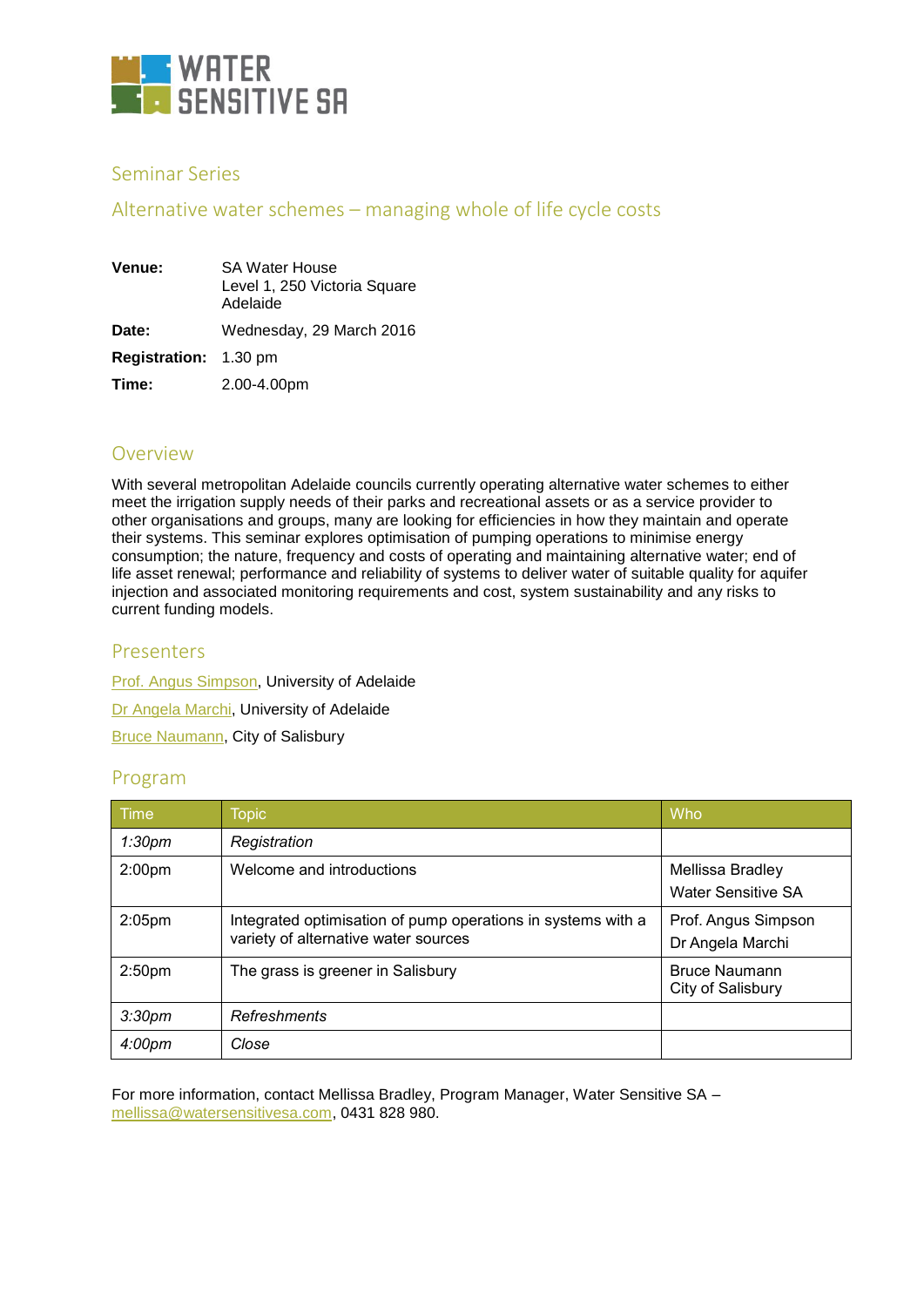

## Seminar Series

## Alternative water schemes – managing whole of life cycle costs

| Venue:                       | <b>SA Water House</b><br>Level 1, 250 Victoria Square<br>Adelaide |  |
|------------------------------|-------------------------------------------------------------------|--|
| Date:                        | Wednesday, 29 March 2016                                          |  |
| <b>Registration: 1.30 pm</b> |                                                                   |  |
| Time:                        | 2.00-4.00pm                                                       |  |

## Overview

With several metropolitan Adelaide councils currently operating alternative water schemes to either meet the irrigation supply needs of their parks and recreational assets or as a service provider to other organisations and groups, many are looking for efficiencies in how they maintain and operate their systems. This seminar explores optimisation of pumping operations to minimise energy consumption; the nature, frequency and costs of operating and maintaining alternative water; end of life asset renewal; performance and reliability of systems to deliver water of suitable quality for aquifer injection and associated monitoring requirements and cost, system sustainability and any risks to current funding models.

### Presenters

**[Prof. Angus Simpson,](http://www.watersensitivesa.com/tribeevent/alternative-water-schemes-managing-whole-of-life-cycle-costs/#Angus_Simpson) University of Adelaide** Dr [Angela Marchi,](http://www.watersensitivesa.com/tribeevent/alternative-water-schemes-managing-whole-of-life-cycle-costs/#Angela_Marchi) University of Adelaide [Bruce Naumann,](http://www.watersensitivesa.com/tribeevent/alternative-water-schemes-managing-whole-of-life-cycle-costs/#Bruce_Naumann) City of Salisbury

### Program

| Time               | <b>Topic</b>                                                                                         | Who                                           |
|--------------------|------------------------------------------------------------------------------------------------------|-----------------------------------------------|
| 1:30 <sub>pm</sub> | Registration                                                                                         |                                               |
| 2:00 <sub>pm</sub> | Welcome and introductions                                                                            | Mellissa Bradley<br><b>Water Sensitive SA</b> |
| 2:05 <sub>pm</sub> | Integrated optimisation of pump operations in systems with a<br>variety of alternative water sources | Prof. Angus Simpson<br>Dr Angela Marchi       |
| 2:50 <sub>pm</sub> | The grass is greener in Salisbury                                                                    | <b>Bruce Naumann</b><br>City of Salisbury     |
| 3:30 <sub>pm</sub> | <b>Refreshments</b>                                                                                  |                                               |
| 4:00 <sub>pm</sub> | Close                                                                                                |                                               |

For more information, contact Mellissa Bradley, Program Manager, Water Sensitive SA – [mellissa@watersensitivesa.com,](mailto:mellissa@watersensitivesa.com) 0431 828 980.